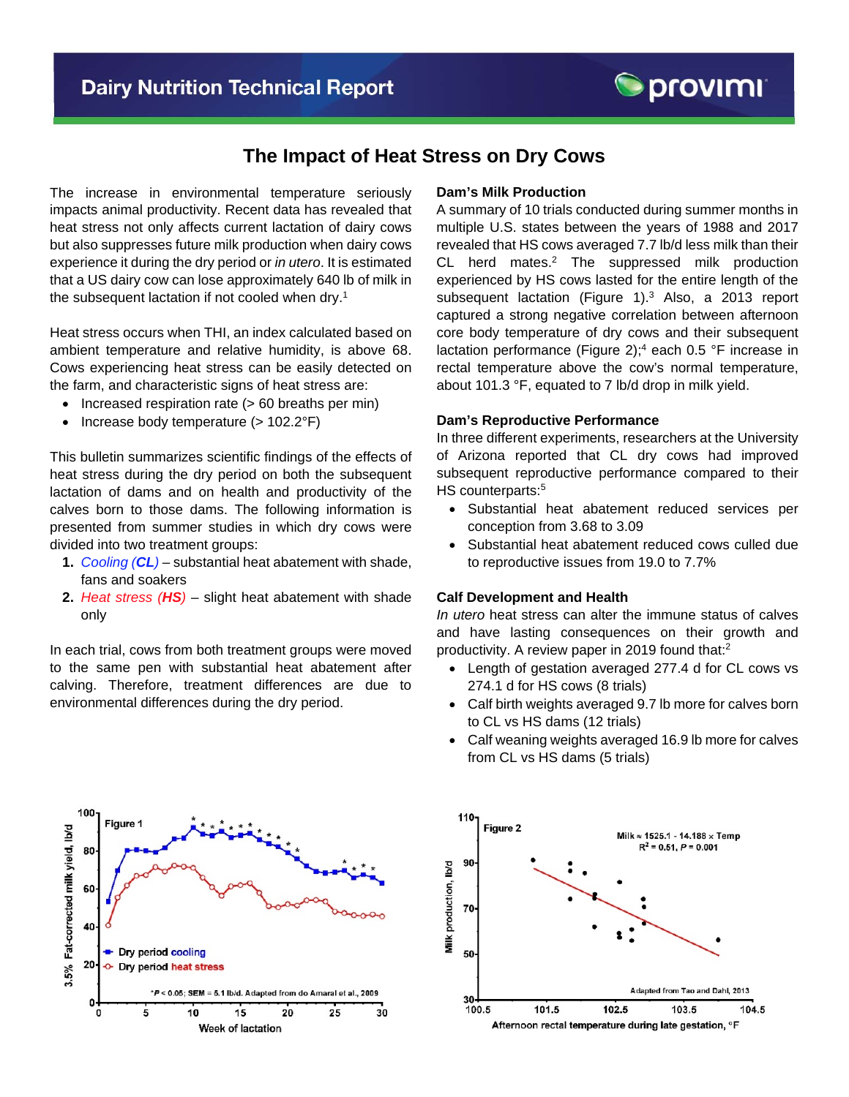# **The Impact of Heat Stress on Dry Cows**

The increase in environmental temperature seriously impacts animal productivity. Recent data has revealed that heat stress not only affects current lactation of dairy cows but also suppresses future milk production when dairy cows experience it during the dry period or *in utero*. It is estimated that a US dairy cow can lose approximately 640 lb of milk in the subsequent lactation if not cooled when dry.<sup>1</sup>

Heat stress occurs when THI, an index calculated based on ambient temperature and relative humidity, is above 68. Cows experiencing heat stress can be easily detected on the farm, and characteristic signs of heat stress are:

- Increased respiration rate (> 60 breaths per min)
- Increase body temperature  $(>102.2^{\circ}F)$

This bulletin summarizes scientific findings of the effects of heat stress during the dry period on both the subsequent lactation of dams and on health and productivity of the calves born to those dams. The following information is presented from summer studies in which dry cows were divided into two treatment groups:

- **1.** *Cooling (CL) –* substantial heat abatement with shade, fans and soakers
- **2.** *Heat stress (HS)* slight heat abatement with shade only

In each trial, cows from both treatment groups were moved to the same pen with substantial heat abatement after calving. Therefore, treatment differences are due to environmental differences during the dry period.

#### **Dam's Milk Production**

A summary of 10 trials conducted during summer months in multiple U.S. states between the years of 1988 and 2017 revealed that HS cows averaged 7.7 lb/d less milk than their CL herd mates.<sup>2</sup> The suppressed milk production experienced by HS cows lasted for the entire length of the subsequent lactation (Figure 1).<sup>3</sup> Also, a 2013 report captured a strong negative correlation between afternoon core body temperature of dry cows and their subsequent lactation performance (Figure 2);<sup>4</sup> each 0.5 °F increase in rectal temperature above the cow's normal temperature, about 101.3 °F, equated to 7 lb/d drop in milk yield.

#### **Dam's Reproductive Performance**

In three different experiments, researchers at the University of Arizona reported that CL dry cows had improved subsequent reproductive performance compared to their HS counterparts:<sup>5</sup>

- Substantial heat abatement reduced services per conception from 3.68 to 3.09
- Substantial heat abatement reduced cows culled due to reproductive issues from 19.0 to 7.7%

### **Calf Development and Health**

*In utero* heat stress can alter the immune status of calves and have lasting consequences on their growth and productivity. A review paper in 2019 found that: 2

- Length of gestation averaged 277.4 d for CL cows vs 274.1 d for HS cows (8 trials)
- Calf birth weights averaged 9.7 lb more for calves born to CL vs HS dams (12 trials)
- Calf weaning weights averaged 16.9 lb more for calves from CL vs HS dams (5 trials)